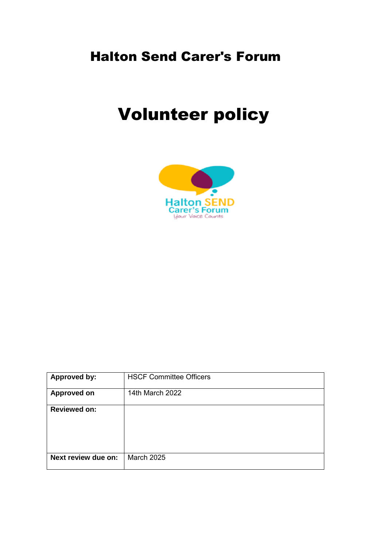## Halton Send Carer's Forum

# Volunteer policy



| Approved by:        | <b>HSCF Committee Officers</b> |
|---------------------|--------------------------------|
| <b>Approved on</b>  | 14th March 2022                |
| <b>Reviewed on:</b> |                                |
| Next review due on: | <b>March 2025</b>              |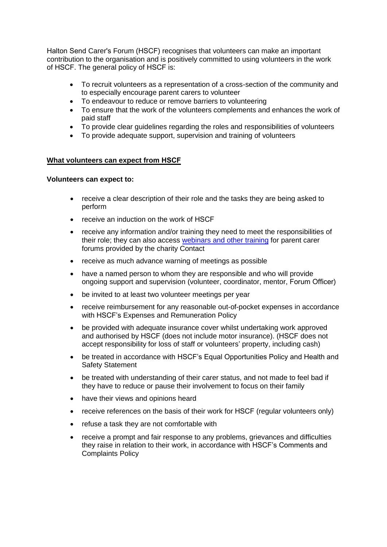Halton Send Carer's Forum (HSCF) recognises that volunteers can make an important contribution to the organisation and is positively committed to using volunteers in the work of HSCF. The general policy of HSCF is:

- To recruit volunteers as a representation of a cross-section of the community and to especially encourage parent carers to volunteer
- To endeavour to reduce or remove barriers to volunteering
- To ensure that the work of the volunteers complements and enhances the work of paid staff
- To provide clear guidelines regarding the roles and responsibilities of volunteers
- To provide adequate support, supervision and training of volunteers

#### **What volunteers can expect from HSCF**

#### **Volunteers can expect to:**

- receive a clear description of their role and the tasks they are being asked to perform
- receive an induction on the work of HSCF
- receive any information and/or training they need to meet the responsibilities of their role; they can also acces[s webinars and other training](https://contact.org.uk/get-involved/parent-carer-participation/resources-(general)/) for parent carer forums provided by the charity Contact
- receive as much advance warning of meetings as possible
- have a named person to whom they are responsible and who will provide ongoing support and supervision (volunteer, coordinator, mentor, Forum Officer)
- be invited to at least two volunteer meetings per year
- receive reimbursement for any reasonable out-of-pocket expenses in accordance with HSCF's Expenses and Remuneration Policy
- be provided with adequate insurance cover whilst undertaking work approved and authorised by HSCF (does not include motor insurance). (HSCF does not accept responsibility for loss of staff or volunteers' property, including cash)
- be treated in accordance with HSCF's Equal Opportunities Policy and Health and Safety Statement
- be treated with understanding of their carer status, and not made to feel bad if they have to reduce or pause their involvement to focus on their family
- have their views and opinions heard
- receive references on the basis of their work for HSCF (regular volunteers only)
- refuse a task they are not comfortable with
- receive a prompt and fair response to any problems, grievances and difficulties they raise in relation to their work, in accordance with HSCF's Comments and Complaints Policy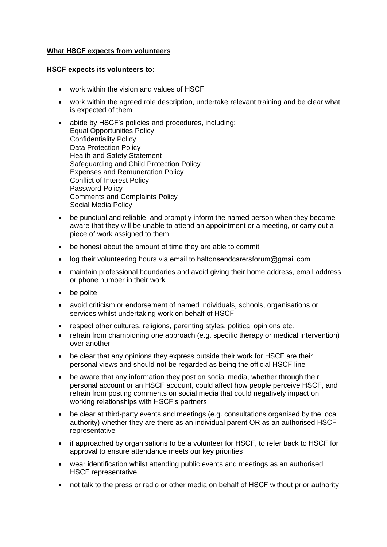### **What HSCF expects from volunteers**

#### **HSCF expects its volunteers to:**

- work within the vision and values of HSCF
- work within the agreed role description, undertake relevant training and be clear what is expected of them
- abide by HSCF's policies and procedures, including: Equal Opportunities Policy Confidentiality Policy Data Protection Policy Health and Safety Statement Safeguarding and Child Protection Policy Expenses and Remuneration Policy Conflict of Interest Policy Password Policy Comments and Complaints Policy Social Media Policy
- be punctual and reliable, and promptly inform the named person when they become aware that they will be unable to attend an appointment or a meeting, or carry out a piece of work assigned to them
- be honest about the amount of time they are able to commit
- log their volunteering hours via em[ail to haltons](https://forms.office.com/pages/responsepage.aspx?id=z_jWAABklk6RYDSEz3gCXGON1yWOLH9Nu167Z-gs54ZUMTdGQ0pHTjE0R0Q2OEkwTDFZSFFLTUJDUi4u)endcarersforum@gmail.com
- maintain professional boundaries and avoid giving their home address, email address or phone number in their work
- be polite
- avoid criticism or endorsement of named individuals, schools, organisations or services whilst undertaking work on behalf of HSCF
- respect other cultures, religions, parenting styles, political opinions etc.
- refrain from championing one approach (e.g. specific therapy or medical intervention) over another
- be clear that any opinions they express outside their work for HSCF are their personal views and should not be regarded as being the official HSCF line
- be aware that any information they post on social media, whether through their personal account or an HSCF account, could affect how people perceive HSCF, and refrain from posting comments on social media that could negatively impact on working relationships with HSCF's partners
- be clear at third-party events and meetings (e.g. consultations organised by the local authority) whether they are there as an individual parent OR as an authorised HSCF representative
- if approached by organisations to be a volunteer for HSCF, to refer back to HSCF for approval to ensure attendance meets our key priorities
- wear identification whilst attending public events and meetings as an authorised HSCF representative
- not talk to the press or radio or other media on behalf of HSCF without prior authority